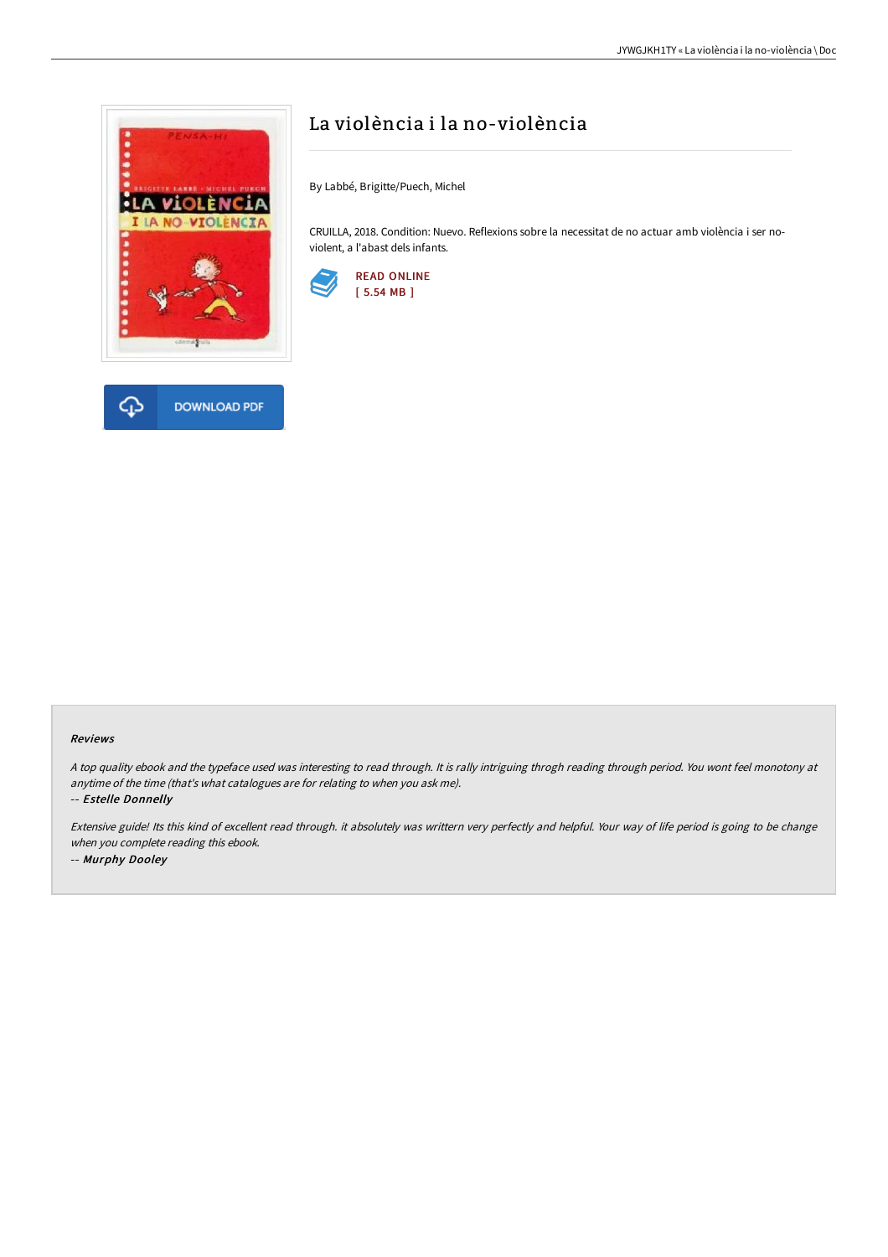

**DOWNLOAD PDF** 

## La violència i la no-violència

By Labbé, Brigitte/Puech, Michel

CRUILLA, 2018. Condition: Nuevo. Reflexions sobre la necessitat de no actuar amb violència i ser noviolent, a l'abast dels infants.



## Reviews

<sup>A</sup> top quality ebook and the typeface used was interesting to read through. It is rally intriguing throgh reading through period. You wont feel monotony at anytime of the time (that's what catalogues are for relating to when you ask me).

-- Estelle Donnelly

क़

Extensive guide! Its this kind of excellent read through. it absolutely was writtern very perfectly and helpful. Your way of life period is going to be change when you complete reading this ebook. -- Murphy Dooley